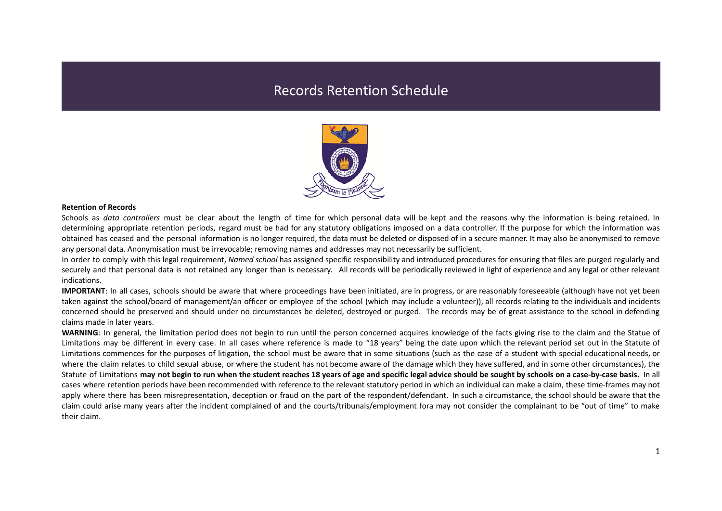## Records Retention Schedule



## **Retention of Records**

Schools as *data controllers* must be clear about the length of time for which personal data will be kept and the reasons why the information is being retained. In determining appropriate retention periods, regard must be had for any statutory obligations imposed on a data controller. If the purpose for which the information was obtained has ceased and the personal information is no longer required, the data must be deleted or disposed of in a secure manner. It may also be anonymised to remove any personal data. Anonymisation must be irrevocable; removing names and addresses may not necessarily be sufficient.

In order to comply with this legal requirement, *Named school* has assigned specific responsibility and introduced procedures for ensuring that files are purged regularly and securely and that personal data is not retained any longer than is necessary. All records will be periodically reviewed in light of experience and any legal or other relevant indications.

**IMPORTANT**: In all cases, schools should be aware that where proceedings have been initiated, are in progress, or are reasonably foreseeable (although have not yet been taken against the school/board of management/an officer or employee of the school (which may include a volunteer)), all records relating to the individuals and incidents concerned should be preserved and should under no circumstances be deleted, destroyed or purged. The records may be of great assistance to the school in defending claims made in later years.

**WARNING**: In general, the limitation period does not begin to run until the person concerned acquires knowledge of the facts giving rise to the claim and the Statue of Limitations may be different in every case. In all cases where reference is made to "18 years" being the date upon which the relevant period set out in the Statute of Limitations commences for the purposes of litigation, the school must be aware that in some situations (such as the case of a student with special educational needs, or where the claim relates to child sexual abuse, or where the student has not become aware of the damage which they have suffered, and in some other circumstances), the Statute of Limitations may not begin to run when the student reaches 18 years of age and specific legal advice should be sought by schools on a case-by-case basis. In all cases where retention periods have been recommended with reference to the relevant statutory period in which an individual can make a claim, these time-frames may not apply where there has been misrepresentation, deception or fraud on the part of the respondent/defendant. In such a circumstance, the school should be aware that the claim could arise many years after the incident complained of and the courts/tribunals/employment fora may not consider the complainant to be "out of time" to make their claim.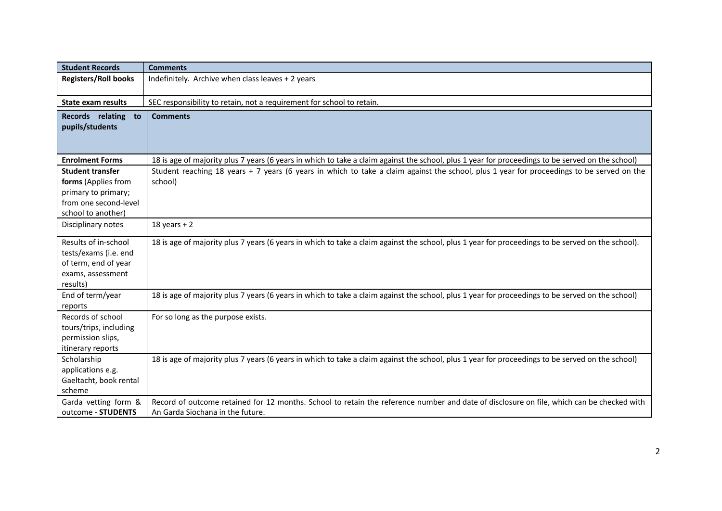| <b>Student Records</b>                                                                                               | <b>Comments</b>                                                                                                                                                               |
|----------------------------------------------------------------------------------------------------------------------|-------------------------------------------------------------------------------------------------------------------------------------------------------------------------------|
| <b>Registers/Roll books</b>                                                                                          | Indefinitely. Archive when class leaves + 2 years                                                                                                                             |
| <b>State exam results</b>                                                                                            | SEC responsibility to retain, not a requirement for school to retain.                                                                                                         |
| Records relating<br>to<br>pupils/students                                                                            | <b>Comments</b>                                                                                                                                                               |
| <b>Enrolment Forms</b>                                                                                               | 18 is age of majority plus 7 years (6 years in which to take a claim against the school, plus 1 year for proceedings to be served on the school)                              |
| <b>Student transfer</b><br>forms (Applies from<br>primary to primary;<br>from one second-level<br>school to another) | Student reaching 18 years + 7 years (6 years in which to take a claim against the school, plus 1 year for proceedings to be served on the<br>school)                          |
| Disciplinary notes                                                                                                   | 18 years $+2$                                                                                                                                                                 |
| Results of in-school<br>tests/exams (i.e. end<br>of term, end of year<br>exams, assessment<br>results)               | 18 is age of majority plus 7 years (6 years in which to take a claim against the school, plus 1 year for proceedings to be served on the school).                             |
| End of term/year<br>reports                                                                                          | 18 is age of majority plus 7 years (6 years in which to take a claim against the school, plus 1 year for proceedings to be served on the school)                              |
| Records of school<br>tours/trips, including<br>permission slips,<br>itinerary reports                                | For so long as the purpose exists.                                                                                                                                            |
| Scholarship<br>applications e.g.<br>Gaeltacht, book rental<br>scheme                                                 | 18 is age of majority plus 7 years (6 years in which to take a claim against the school, plus 1 year for proceedings to be served on the school)                              |
| Garda vetting form &<br>outcome - STUDENTS                                                                           | Record of outcome retained for 12 months. School to retain the reference number and date of disclosure on file, which can be checked with<br>An Garda Siochana in the future. |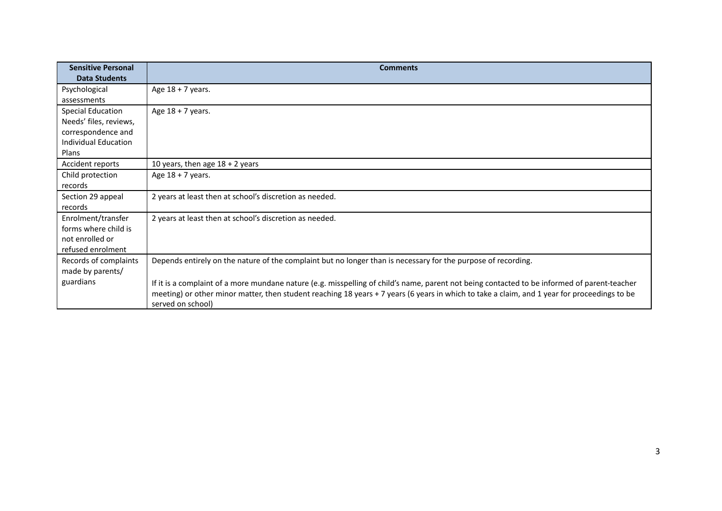| <b>Sensitive Personal</b><br><b>Data Students</b> | <b>Comments</b>                                                                                                                                                   |
|---------------------------------------------------|-------------------------------------------------------------------------------------------------------------------------------------------------------------------|
|                                                   |                                                                                                                                                                   |
| Psychological                                     | Age $18 + 7$ years.                                                                                                                                               |
| assessments                                       |                                                                                                                                                                   |
| <b>Special Education</b>                          | Age $18 + 7$ years.                                                                                                                                               |
| Needs' files, reviews,                            |                                                                                                                                                                   |
| correspondence and                                |                                                                                                                                                                   |
| Individual Education                              |                                                                                                                                                                   |
| Plans                                             |                                                                                                                                                                   |
| Accident reports                                  | 10 years, then age $18 + 2$ years                                                                                                                                 |
| Child protection                                  | Age $18 + 7$ years.                                                                                                                                               |
| records                                           |                                                                                                                                                                   |
| Section 29 appeal                                 | 2 years at least then at school's discretion as needed.                                                                                                           |
| records                                           |                                                                                                                                                                   |
| Enrolment/transfer                                | 2 years at least then at school's discretion as needed.                                                                                                           |
| forms where child is                              |                                                                                                                                                                   |
| not enrolled or                                   |                                                                                                                                                                   |
| refused enrolment                                 |                                                                                                                                                                   |
| Records of complaints                             | Depends entirely on the nature of the complaint but no longer than is necessary for the purpose of recording.                                                     |
| made by parents/                                  |                                                                                                                                                                   |
| guardians                                         | If it is a complaint of a more mundane nature (e.g. misspelling of child's name, parent not being contacted to be informed of parent-teacher                      |
|                                                   | meeting) or other minor matter, then student reaching 18 years + 7 years (6 years in which to take a claim, and 1 year for proceedings to be<br>served on school) |
|                                                   |                                                                                                                                                                   |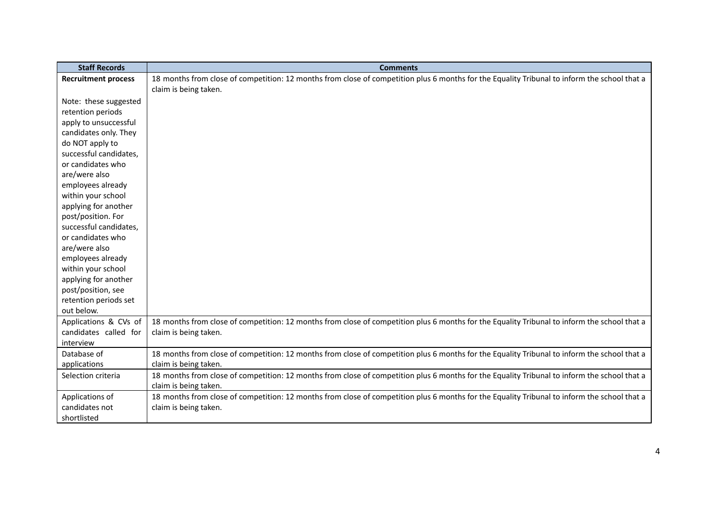| <b>Staff Records</b>       | <b>Comments</b>                                                                                                                              |
|----------------------------|----------------------------------------------------------------------------------------------------------------------------------------------|
| <b>Recruitment process</b> | 18 months from close of competition: 12 months from close of competition plus 6 months for the Equality Tribunal to inform the school that a |
|                            | claim is being taken.                                                                                                                        |
| Note: these suggested      |                                                                                                                                              |
| retention periods          |                                                                                                                                              |
| apply to unsuccessful      |                                                                                                                                              |
| candidates only. They      |                                                                                                                                              |
| do NOT apply to            |                                                                                                                                              |
| successful candidates,     |                                                                                                                                              |
| or candidates who          |                                                                                                                                              |
| are/were also              |                                                                                                                                              |
| employees already          |                                                                                                                                              |
| within your school         |                                                                                                                                              |
| applying for another       |                                                                                                                                              |
| post/position. For         |                                                                                                                                              |
| successful candidates,     |                                                                                                                                              |
| or candidates who          |                                                                                                                                              |
| are/were also              |                                                                                                                                              |
| employees already          |                                                                                                                                              |
| within your school         |                                                                                                                                              |
| applying for another       |                                                                                                                                              |
| post/position, see         |                                                                                                                                              |
| retention periods set      |                                                                                                                                              |
| out below.                 |                                                                                                                                              |
| Applications & CVs of      | 18 months from close of competition: 12 months from close of competition plus 6 months for the Equality Tribunal to inform the school that a |
| candidates called for      | claim is being taken.                                                                                                                        |
| interview                  |                                                                                                                                              |
| Database of                | 18 months from close of competition: 12 months from close of competition plus 6 months for the Equality Tribunal to inform the school that a |
| applications               | claim is being taken.                                                                                                                        |
| Selection criteria         | 18 months from close of competition: 12 months from close of competition plus 6 months for the Equality Tribunal to inform the school that a |
|                            | claim is being taken.                                                                                                                        |
| Applications of            | 18 months from close of competition: 12 months from close of competition plus 6 months for the Equality Tribunal to inform the school that a |
| candidates not             | claim is being taken.                                                                                                                        |
| shortlisted                |                                                                                                                                              |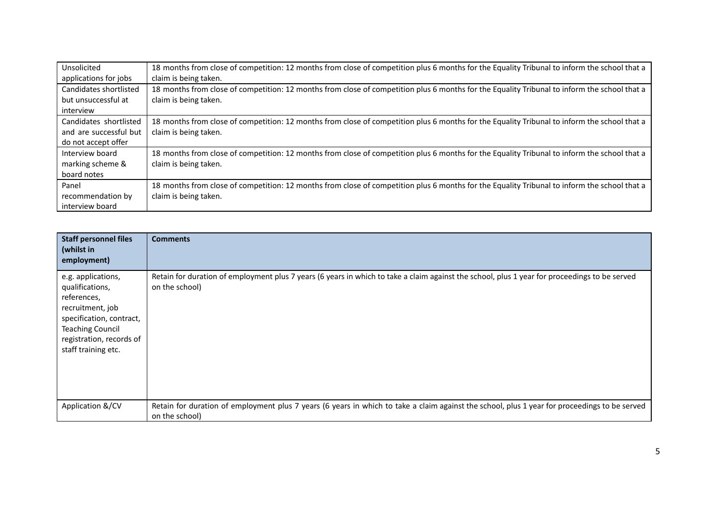| Unsolicited            | 18 months from close of competition: 12 months from close of competition plus 6 months for the Equality Tribunal to inform the school that a |
|------------------------|----------------------------------------------------------------------------------------------------------------------------------------------|
| applications for jobs  | claim is being taken.                                                                                                                        |
| Candidates shortlisted | 18 months from close of competition: 12 months from close of competition plus 6 months for the Equality Tribunal to inform the school that a |
| but unsuccessful at    | claim is being taken.                                                                                                                        |
| interview              |                                                                                                                                              |
| Candidates shortlisted | 18 months from close of competition: 12 months from close of competition plus 6 months for the Equality Tribunal to inform the school that a |
| and are successful but | claim is being taken.                                                                                                                        |
| do not accept offer    |                                                                                                                                              |
| Interview board        | 18 months from close of competition: 12 months from close of competition plus 6 months for the Equality Tribunal to inform the school that a |
| marking scheme &       | claim is being taken.                                                                                                                        |
| board notes            |                                                                                                                                              |
| Panel                  | 18 months from close of competition: 12 months from close of competition plus 6 months for the Equality Tribunal to inform the school that a |
| recommendation by      | claim is being taken.                                                                                                                        |
| interview board        |                                                                                                                                              |

| <b>Staff personnel files</b><br>(whilst in<br>employment)                                                                                                                          | <b>Comments</b>                                                                                                                                                 |
|------------------------------------------------------------------------------------------------------------------------------------------------------------------------------------|-----------------------------------------------------------------------------------------------------------------------------------------------------------------|
| e.g. applications,<br>qualifications,<br>references,<br>recruitment, job<br>specification, contract,<br><b>Teaching Council</b><br>registration, records of<br>staff training etc. | Retain for duration of employment plus 7 years (6 years in which to take a claim against the school, plus 1 year for proceedings to be served<br>on the school) |
| Application &/CV                                                                                                                                                                   | Retain for duration of employment plus 7 years (6 years in which to take a claim against the school, plus 1 year for proceedings to be served<br>on the school) |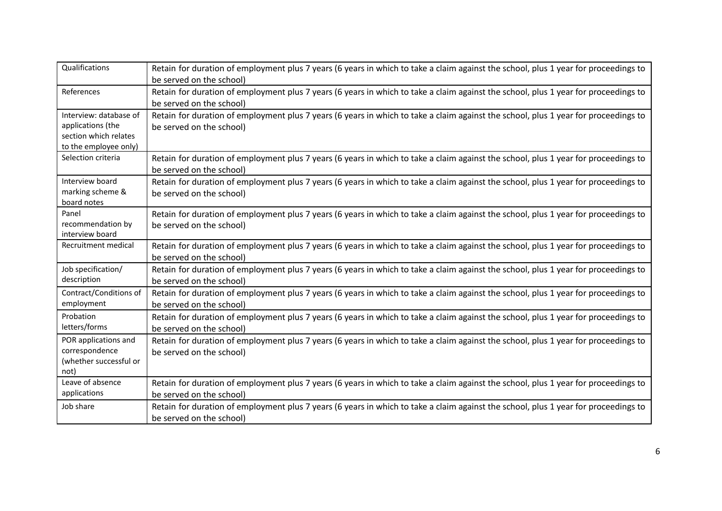| Qualifications                                                                                | Retain for duration of employment plus 7 years (6 years in which to take a claim against the school, plus 1 year for proceedings to<br>be served on the school) |
|-----------------------------------------------------------------------------------------------|-----------------------------------------------------------------------------------------------------------------------------------------------------------------|
| References                                                                                    | Retain for duration of employment plus 7 years (6 years in which to take a claim against the school, plus 1 year for proceedings to<br>be served on the school) |
| Interview: database of<br>applications (the<br>section which relates<br>to the employee only) | Retain for duration of employment plus 7 years (6 years in which to take a claim against the school, plus 1 year for proceedings to<br>be served on the school) |
| Selection criteria                                                                            | Retain for duration of employment plus 7 years (6 years in which to take a claim against the school, plus 1 year for proceedings to<br>be served on the school) |
| Interview board<br>marking scheme &<br>board notes                                            | Retain for duration of employment plus 7 years (6 years in which to take a claim against the school, plus 1 year for proceedings to<br>be served on the school) |
| Panel<br>recommendation by<br>interview board                                                 | Retain for duration of employment plus 7 years (6 years in which to take a claim against the school, plus 1 year for proceedings to<br>be served on the school) |
| Recruitment medical                                                                           | Retain for duration of employment plus 7 years (6 years in which to take a claim against the school, plus 1 year for proceedings to<br>be served on the school) |
| Job specification/<br>description                                                             | Retain for duration of employment plus 7 years (6 years in which to take a claim against the school, plus 1 year for proceedings to<br>be served on the school) |
| Contract/Conditions of<br>employment                                                          | Retain for duration of employment plus 7 years (6 years in which to take a claim against the school, plus 1 year for proceedings to<br>be served on the school) |
| Probation<br>letters/forms                                                                    | Retain for duration of employment plus 7 years (6 years in which to take a claim against the school, plus 1 year for proceedings to<br>be served on the school) |
| POR applications and<br>correspondence<br>(whether successful or<br>not)                      | Retain for duration of employment plus 7 years (6 years in which to take a claim against the school, plus 1 year for proceedings to<br>be served on the school) |
| Leave of absence<br>applications                                                              | Retain for duration of employment plus 7 years (6 years in which to take a claim against the school, plus 1 year for proceedings to<br>be served on the school) |
| Job share                                                                                     | Retain for duration of employment plus 7 years (6 years in which to take a claim against the school, plus 1 year for proceedings to<br>be served on the school) |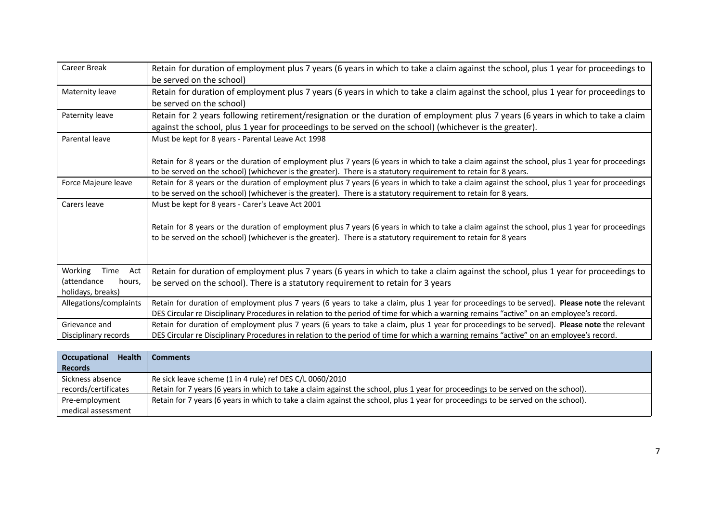| <b>Career Break</b>                                                  | Retain for duration of employment plus 7 years (6 years in which to take a claim against the school, plus 1 year for proceedings to                                                                                                                                                     |
|----------------------------------------------------------------------|-----------------------------------------------------------------------------------------------------------------------------------------------------------------------------------------------------------------------------------------------------------------------------------------|
| Maternity leave                                                      | be served on the school)<br>Retain for duration of employment plus 7 years (6 years in which to take a claim against the school, plus 1 year for proceedings to<br>be served on the school)                                                                                             |
| Paternity leave                                                      | Retain for 2 years following retirement/resignation or the duration of employment plus 7 years (6 years in which to take a claim<br>against the school, plus 1 year for proceedings to be served on the school) (whichever is the greater).                                             |
| Parental leave                                                       | Must be kept for 8 years - Parental Leave Act 1998                                                                                                                                                                                                                                      |
|                                                                      | Retain for 8 years or the duration of employment plus 7 years (6 years in which to take a claim against the school, plus 1 year for proceedings<br>to be served on the school) (whichever is the greater). There is a statutory requirement to retain for 8 years.                      |
| Force Majeure leave                                                  | Retain for 8 years or the duration of employment plus 7 years (6 years in which to take a claim against the school, plus 1 year for proceedings<br>to be served on the school) (whichever is the greater). There is a statutory requirement to retain for 8 years.                      |
| Carers leave                                                         | Must be kept for 8 years - Carer's Leave Act 2001                                                                                                                                                                                                                                       |
|                                                                      | Retain for 8 years or the duration of employment plus 7 years (6 years in which to take a claim against the school, plus 1 year for proceedings<br>to be served on the school) (whichever is the greater). There is a statutory requirement to retain for 8 years                       |
| Working<br>Time<br>Act<br>(attendance<br>hours,<br>holidays, breaks) | Retain for duration of employment plus 7 years (6 years in which to take a claim against the school, plus 1 year for proceedings to<br>be served on the school). There is a statutory requirement to retain for 3 years                                                                 |
| Allegations/complaints                                               | Retain for duration of employment plus 7 years (6 years to take a claim, plus 1 year for proceedings to be served). Please note the relevant<br>DES Circular re Disciplinary Procedures in relation to the period of time for which a warning remains "active" on an employee's record. |
| Grievance and<br>Disciplinary records                                | Retain for duration of employment plus 7 years (6 years to take a claim, plus 1 year for proceedings to be served). Please note the relevant<br>DES Circular re Disciplinary Procedures in relation to the period of time for which a warning remains "active" on an employee's record. |

| <b>Health</b><br><b>Occupational</b> | <b>Comments</b>                                                                                                                   |
|--------------------------------------|-----------------------------------------------------------------------------------------------------------------------------------|
| <b>Records</b>                       |                                                                                                                                   |
| Sickness absence                     | Re sick leave scheme (1 in 4 rule) ref DES C/L 0060/2010                                                                          |
| records/certificates                 | Retain for 7 years (6 years in which to take a claim against the school, plus 1 year for proceedings to be served on the school). |
| Pre-employment                       | Retain for 7 years (6 years in which to take a claim against the school, plus 1 year for proceedings to be served on the school). |
| medical assessment                   |                                                                                                                                   |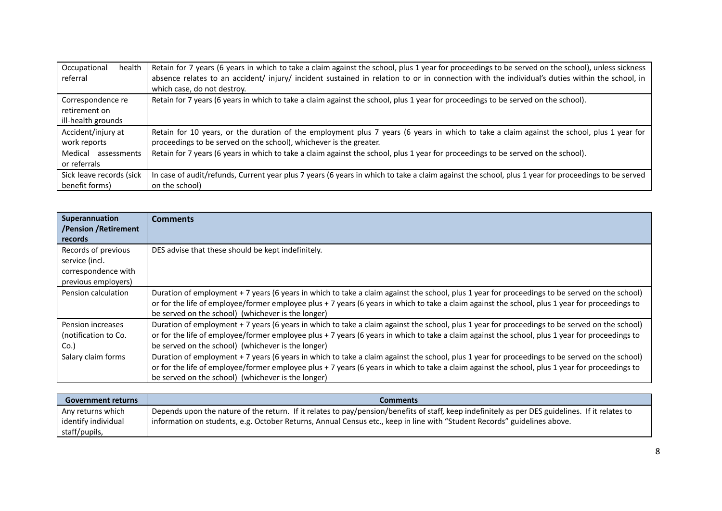| Occupational                                             | Retain for 7 years (6 years in which to take a claim against the school, plus 1 year for proceedings to be served on the school), unless sickness  |
|----------------------------------------------------------|----------------------------------------------------------------------------------------------------------------------------------------------------|
| health                                                   | absence relates to an accident/injury/incident sustained in relation to or in connection with the individual's duties within the school, in        |
| referral                                                 | which case, do not destroy.                                                                                                                        |
| Correspondence re<br>retirement on<br>ill-health grounds | Retain for 7 years (6 years in which to take a claim against the school, plus 1 year for proceedings to be served on the school).                  |
| Accident/injury at                                       | Retain for 10 years, or the duration of the employment plus 7 years (6 years in which to take a claim against the school, plus 1 year for          |
| work reports                                             | proceedings to be served on the school), whichever is the greater.                                                                                 |
| Medical<br>assessments<br>or referrals                   | Retain for 7 years (6 years in which to take a claim against the school, plus 1 year for proceedings to be served on the school).                  |
| Sick leave records (sick                                 | In case of audit/refunds, Current year plus 7 years (6 years in which to take a claim against the school, plus 1 year for proceedings to be served |
| benefit forms)                                           | on the school)                                                                                                                                     |

| Superannuation<br>/Pension /Retirement<br>records                                   | <b>Comments</b>                                                                                                                                                                                                                                                                                                                                         |
|-------------------------------------------------------------------------------------|---------------------------------------------------------------------------------------------------------------------------------------------------------------------------------------------------------------------------------------------------------------------------------------------------------------------------------------------------------|
| Records of previous<br>service (incl.<br>correspondence with<br>previous employers) | DES advise that these should be kept indefinitely.                                                                                                                                                                                                                                                                                                      |
| Pension calculation                                                                 | Duration of employment + 7 years (6 years in which to take a claim against the school, plus 1 year for proceedings to be served on the school)<br>or for the life of employee/former employee plus + 7 years (6 years in which to take a claim against the school, plus 1 year for proceedings to<br>be served on the school) (whichever is the longer) |
| Pension increases<br>(notification to Co.<br>Co.)                                   | Duration of employment + 7 years (6 years in which to take a claim against the school, plus 1 year for proceedings to be served on the school)<br>or for the life of employee/former employee plus + 7 years (6 years in which to take a claim against the school, plus 1 year for proceedings to<br>be served on the school) (whichever is the longer) |
| Salary claim forms                                                                  | Duration of employment + 7 years (6 years in which to take a claim against the school, plus 1 year for proceedings to be served on the school)<br>or for the life of employee/former employee plus + 7 years (6 years in which to take a claim against the school, plus 1 year for proceedings to<br>be served on the school) (whichever is the longer) |

| <b>Government returns</b> | <b>Comments</b>                                                                                                                                  |
|---------------------------|--------------------------------------------------------------------------------------------------------------------------------------------------|
| Any returns which         | Depends upon the nature of the return. If it relates to pay/pension/benefits of staff, keep indefinitely as per DES guidelines. If it relates to |
| identify individual       | information on students, e.g. October Returns, Annual Census etc., keep in line with "Student Records" guidelines above.                         |
| staff/pupils,             |                                                                                                                                                  |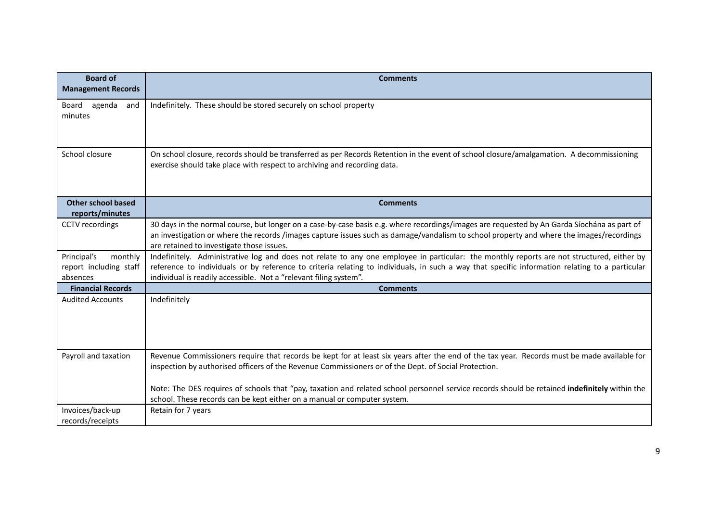| <b>Board of</b><br><b>Management Records</b>                 | <b>Comments</b>                                                                                                                                                                                                                                                                                                                                                  |
|--------------------------------------------------------------|------------------------------------------------------------------------------------------------------------------------------------------------------------------------------------------------------------------------------------------------------------------------------------------------------------------------------------------------------------------|
| Board agenda<br>and<br>minutes                               | Indefinitely. These should be stored securely on school property                                                                                                                                                                                                                                                                                                 |
| School closure                                               | On school closure, records should be transferred as per Records Retention in the event of school closure/amalgamation. A decommissioning<br>exercise should take place with respect to archiving and recording data.                                                                                                                                             |
| Other school based<br>reports/minutes                        | <b>Comments</b>                                                                                                                                                                                                                                                                                                                                                  |
| CCTV recordings                                              | 30 days in the normal course, but longer on a case-by-case basis e.g. where recordings/images are requested by An Garda Síochána as part of<br>an investigation or where the records /images capture issues such as damage/vandalism to school property and where the images/recordings<br>are retained to investigate those issues.                             |
| Principal's<br>monthly<br>report including staff<br>absences | Indefinitely. Administrative log and does not relate to any one employee in particular: the monthly reports are not structured, either by<br>reference to individuals or by reference to criteria relating to individuals, in such a way that specific information relating to a particular<br>individual is readily accessible. Not a "relevant filing system". |
| <b>Financial Records</b>                                     | <b>Comments</b>                                                                                                                                                                                                                                                                                                                                                  |
| <b>Audited Accounts</b>                                      | Indefinitely                                                                                                                                                                                                                                                                                                                                                     |
| Payroll and taxation                                         | Revenue Commissioners require that records be kept for at least six years after the end of the tax year. Records must be made available for<br>inspection by authorised officers of the Revenue Commissioners or of the Dept. of Social Protection.                                                                                                              |
|                                                              | Note: The DES requires of schools that "pay, taxation and related school personnel service records should be retained indefinitely within the<br>school. These records can be kept either on a manual or computer system.                                                                                                                                        |
| Invoices/back-up<br>records/receipts                         | Retain for 7 years                                                                                                                                                                                                                                                                                                                                               |